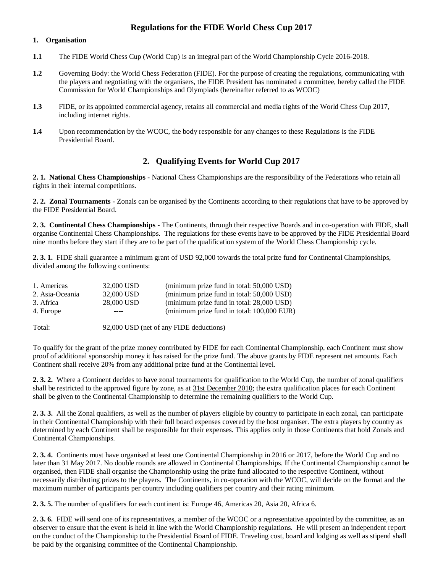# **Regulations for the FIDE World Chess Cup 2017**

#### **1. Organisation**

- **1.1** The FIDE World Chess Cup (World Cup) is an integral part of the World Championship Cycle 2016-2018.
- **1.2** Governing Body: the World Chess Federation (FIDE). For the purpose of creating the regulations, communicating with the players and negotiating with the organisers, the FIDE President has nominated a committee, hereby called the FIDE Commission for World Championships and Olympiads (hereinafter referred to as WCOC)
- **1.3** FIDE, or its appointed commercial agency, retains all commercial and media rights of the World Chess Cup 2017, including internet rights.
- **1.4** Upon recommendation by the WCOC, the body responsible for any changes to these Regulations is the FIDE Presidential Board.

# **2. Qualifying Events for World Cup 2017**

**2. 1. National Chess Championships -** National Chess Championships are the responsibility of the Federations who retain all rights in their internal competitions.

**2. 2. Zonal Tournaments -** Zonals can be organised by the Continents according to their regulations that have to be approved by the FIDE Presidential Board.

**2. 3. Continental Chess Championships -** The Continents, through their respective Boards and in co-operation with FIDE, shall organise Continental Chess Championships. The regulations for these events have to be approved by the FIDE Presidential Board nine months before they start if they are to be part of the qualification system of the World Chess Championship cycle.

**2. 3. 1.** FIDE shall guarantee a minimum grant of USD 92,000 towards the total prize fund for Continental Championships, divided among the following continents:

| 1. Americas     | 32,000 USD | (minimum prize fund in total: 50,000 USD)  |
|-----------------|------------|--------------------------------------------|
| 2. Asia-Oceania | 32,000 USD | (minimum prize fund in total: 50,000 USD)  |
| 3. Africa       | 28,000 USD | (minimum prize fund in total: 28,000 USD)  |
| 4. Europe       | ----       | (minimum prize fund in total: 100,000 EUR) |

Total: 92,000 USD (net of any FIDE deductions)

To qualify for the grant of the prize money contributed by FIDE for each Continental Championship, each Continent must show proof of additional sponsorship money it has raised for the prize fund. The above grants by FIDE represent net amounts. Each Continent shall receive 20% from any additional prize fund at the Continental level.

**2. 3. 2.** Where a Continent decides to have zonal tournaments for qualification to the World Cup, the number of zonal qualifiers shall be restricted to the approved figure by zone, as at 31st December 2010; the extra qualification places for each Continent shall be given to the Continental Championship to determine the remaining qualifiers to the World Cup.

**2. 3. 3.** All the Zonal qualifiers, as well as the number of players eligible by country to participate in each zonal, can participate in their Continental Championship with their full board expenses covered by the host organiser. The extra players by country as determined by each Continent shall be responsible for their expenses. This applies only in those Continents that hold Zonals and Continental Championships.

**2. 3. 4.** Continents must have organised at least one Continental Championship in 2016 or 2017, before the World Cup and no later than 31 May 2017. No double rounds are allowed in Continental Championships. If the Continental Championship cannot be organised, then FIDE shall organise the Championship using the prize fund allocated to the respective Continent, without necessarily distributing prizes to the players. The Continents, in co-operation with the WCOC, will decide on the format and the maximum number of participants per country including qualifiers per country and their rating minimum.

**2. 3. 5.** The number of qualifiers for each continent is: Europe 46, Americas 20, Asia 20, Africa 6.

**2. 3. 6.** FIDE will send one of its representatives, a member of the WCOC or a representative appointed by the committee, as an observer to ensure that the event is held in line with the World Championship regulations. He will present an independent report on the conduct of the Championship to the Presidential Board of FIDE. Traveling cost, board and lodging as well as stipend shall be paid by the organising committee of the Continental Championship.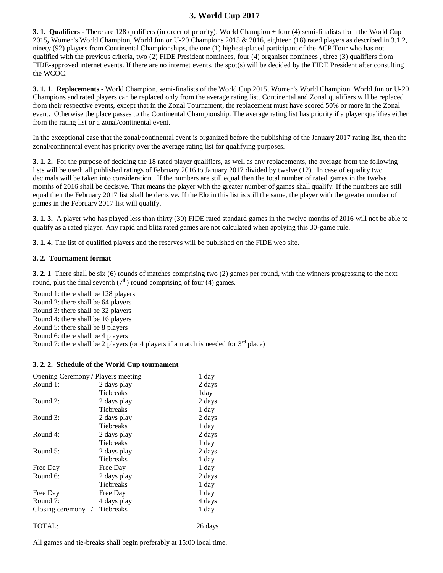# **3. World Cup 2017**

**3. 1. Qualifiers -** There are 128 qualifiers (in order of priority): World Champion + four (4) semi-finalists from the World Cup 2015**,** Women's World Champion, World Junior U-20 Champions 2015 & 2016, eighteen (18) rated players as described in 3.1.2, ninety (92) players from Continental Championships, the one (1) highest-placed participant of the ACP Tour who has not qualified with the previous criteria, two (2) FIDE President nominees, four (4) organiser nominees , three (3) qualifiers from FIDE-approved internet events. If there are no internet events, the spot(s) will be decided by the FIDE President after consulting the WCOC.

**3. 1. 1. Replacements -** World Champion, semi-finalists of the World Cup 2015, Women's World Champion, World Junior U-20 Champions and rated players can be replaced only from the average rating list. Continental and Zonal qualifiers will be replaced from their respective events, except that in the Zonal Tournament, the replacement must have scored 50% or more in the Zonal event. Otherwise the place passes to the Continental Championship. The average rating list has priority if a player qualifies either from the rating list or a zonal/continental event.

In the exceptional case that the zonal/continental event is organized before the publishing of the January 2017 rating list, then the zonal/continental event has priority over the average rating list for qualifying purposes.

**3. 1. 2.** For the purpose of deciding the 18 rated player qualifiers, as well as any replacements, the average from the following lists will be used: all published ratings of February 2016 to January 2017 divided by twelve (12). In case of equality two decimals will be taken into consideration. If the numbers are still equal then the total number of rated games in the twelve months of 2016 shall be decisive. That means the player with the greater number of games shall qualify. If the numbers are still equal then the February 2017 list shall be decisive. If the Elo in this list is still the same, the player with the greater number of games in the February 2017 list will qualify.

**3. 1. 3.** A player who has played less than thirty (30) FIDE rated standard games in the twelve months of 2016 will not be able to qualify as a rated player. Any rapid and blitz rated games are not calculated when applying this 30-game rule.

**3. 1. 4.** The list of qualified players and the reserves will be published on the FIDE web site.

#### **3. 2. Tournament format**

**3. 2. 1** There shall be six (6) rounds of matches comprising two (2) games per round, with the winners progressing to the next round, plus the final seventh  $(7<sup>th</sup>)$  round comprising of four (4) games.

Round 1: there shall be 128 players Round 2: there shall be 64 players Round 3: there shall be 32 players Round 4: there shall be 16 players Round 5: there shall be 8 players Round 6: there shall be 4 players Round 7: there shall be 2 players (or 4 players if a match is needed for  $3<sup>rd</sup>$  place)

#### **3. 2. 2. Schedule of the World Cup tournament**

| Opening Ceremony / Players meeting |                  | 1 day  |
|------------------------------------|------------------|--------|
| Round 1:                           | 2 days play      | 2 days |
|                                    | Tiebreaks        | 1day   |
| Round 2:                           | 2 days play      | 2 days |
|                                    | Tiebreaks        | 1 day  |
| Round 3:                           | 2 days play      | 2 days |
|                                    | <b>Tiebreaks</b> | 1 day  |
| Round 4:                           | 2 days play      | 2 days |
|                                    | Tiebreaks        | 1 day  |
| Round $5$ :                        | 2 days play      | 2 days |
|                                    | Tiebreaks        | 1 day  |
| Free Day                           | Free Day         | 1 day  |
| Round 6:                           | 2 days play      | 2 days |
|                                    | Tiebreaks        | 1 day  |
| Free Day                           | Free Day         | 1 day  |
| Round 7:                           | 4 days play      | 4 days |
| Closing ceremony                   | Tiebreaks        | 1 day  |
|                                    |                  |        |

TOTAL: 26 days

All games and tie-breaks shall begin preferably at 15:00 local time.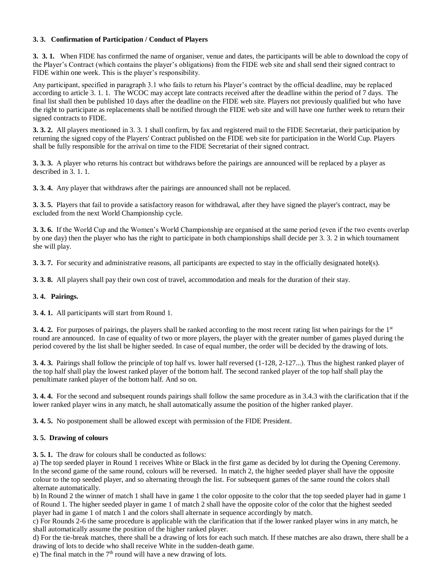# **3. 3. Confirmation of Participation / Conduct of Players**

**3. 3. 1.** When FIDE has confirmed the name of organiser, venue and dates, the participants will be able to download the copy of the Player's Contract (which contains the player's obligations) from the FIDE web site and shall send their signed contract to FIDE within one week. This is the player's responsibility.

Any participant, specified in paragraph 3.1 who fails to return his Player's contract by the official deadline, may be replaced according to article 3. 1. 1. The WCOC may accept late contracts received after the deadline within the period of 7 days. The final list shall then be published 10 days after the deadline on the FIDE web site. Players not previously qualified but who have the right to participate as replacements shall be notified through the FIDE web site and will have one further week to return their signed contracts to FIDE.

**3. 3. 2.** All players mentioned in 3. 3. 1 shall confirm, by fax and registered mail to the FIDE Secretariat, their participation by returning the signed copy of the Players' Contract published on the FIDE web site for participation in the World Cup. Players shall be fully responsible for the arrival on time to the FIDE Secretariat of their signed contract.

**3. 3. 3.** A player who returns his contract but withdraws before the pairings are announced will be replaced by a player as described in 3. 1. 1.

**3. 3. 4.** Any player that withdraws after the pairings are announced shall not be replaced.

**3. 3. 5.** Players that fail to provide a satisfactory reason for withdrawal, after they have signed the player's contract, may be excluded from the next World Championship cycle.

**3. 3. 6.** If the World Cup and the Women's World Championship are organised at the same period (even if the two events overlap by one day) then the player who has the right to participate in both championships shall decide per 3. 3. 2 in which tournament she will play.

**3. 3. 7.** For security and administrative reasons, all participants are expected to stay in the officially designated hotel(s).

**3. 3. 8.** All players shall pay their own cost of travel, accommodation and meals for the duration of their stay.

## **3. 4. Pairings.**

**3. 4. 1.** All participants will start from Round 1.

**3. 4. 2.** For purposes of pairings, the players shall be ranked according to the most recent rating list when pairings for the 1<sup>st</sup> round are announced. In case of equality of two or more players, the player with the greater number of games played during the period covered by the list shall be higher seeded. In case of equal number, the order will be decided by the drawing of lots.

**3. 4. 3.** Pairings shall follow the principle of top half vs. lower half reversed (1-128, 2-127...). Thus the highest ranked player of the top half shall play the lowest ranked player of the bottom half. The second ranked player of the top half shall play the penultimate ranked player of the bottom half. And so on.

**3. 4. 4.** For the second and subsequent rounds pairings shall follow the same procedure as in 3.4.3 with the clarification that if the lower ranked player wins in any match, he shall automatically assume the position of the higher ranked player.

**3. 4. 5.** No postponement shall be allowed except with permission of the FIDE President.

## **3. 5. Drawing of colours**

**3. 5. 1.** The draw for colours shall be conducted as follows:

a) The top seeded player in Round 1 receives White or Black in the first game as decided by lot during the Opening Ceremony. In the second game of the same round, colours will be reversed. In match 2, the higher seeded player shall have the opposite colour to the top seeded player, and so alternating through the list. For subsequent games of the same round the colors shall alternate automatically.

b) In Round 2 the winner of match 1 shall have in game 1 the color opposite to the color that the top seeded player had in game 1 of Round 1. The higher seeded player in game 1 of match 2 shall have the opposite color of the color that the highest seeded player had in game 1 of match 1 and the colors shall alternate in sequence accordingly by match.

c) For Rounds 2-6 the same procedure is applicable with the clarification that if the lower ranked player wins in any match, he shall automatically assume the position of the higher ranked player.

d) For the tie-break matches, there shall be a drawing of lots for each such match. If these matches are also drawn, there shall be a drawing of lots to decide who shall receive White in the sudden-death game.

e) The final match in the  $7<sup>th</sup>$  round will have a new drawing of lots.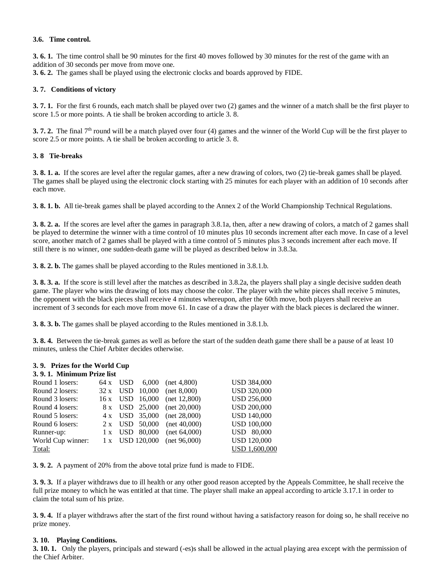#### **3.6. Time control.**

**3. 6. 1.** The time control shall be 90 minutes for the first 40 moves followed by 30 minutes for the rest of the game with an addition of 30 seconds per move from move one.

**3. 6. 2.** The games shall be played using the electronic clocks and boards approved by FIDE.

## **3. 7. Conditions of victory**

**3. 7. 1.** For the first 6 rounds, each match shall be played over two (2) games and the winner of a match shall be the first player to score 1.5 or more points. A tie shall be broken according to article 3. 8.

**3. 7. 2.** The final 7<sup>th</sup> round will be a match played over four (4) games and the winner of the World Cup will be the first player to score 2.5 or more points. A tie shall be broken according to article 3. 8.

#### **3. 8 Tie-breaks**

**3. 8. 1. a.** If the scores are level after the regular games, after a new drawing of colors, two (2) tie-break games shall be played. The games shall be played using the electronic clock starting with 25 minutes for each player with an addition of 10 seconds after each move.

**3. 8. 1. b.** All tie-break games shall be played according to the Annex 2 of the World Championship Technical Regulations.

**3. 8. 2. a.** If the scores are level after the games in paragraph 3.8.1a, then, after a new drawing of colors, a match of 2 games shall be played to determine the winner with a time control of 10 minutes plus 10 seconds increment after each move. In case of a level score, another match of 2 games shall be played with a time control of 5 minutes plus 3 seconds increment after each move. If still there is no winner, one sudden-death game will be played as described below in 3.8.3a.

**3. 8. 2. b.** The games shall be played according to the Rules mentioned in 3.8.1.b.

**3. 8. 3. a.** If the score is still level after the matches as described in 3.8.2a, the players shall play a single decisive sudden death game. The player who wins the drawing of lots may choose the color. The player with the white pieces shall receive 5 minutes, the opponent with the black pieces shall receive 4 minutes whereupon, after the 60th move, both players shall receive an increment of 3 seconds for each move from move 61. In case of a draw the player with the black pieces is declared the winner.

**3. 8. 3. b.** The games shall be played according to the Rules mentioned in 3.8.1.b.

**3. 8. 4.** Between the tie-break games as well as before the start of the sudden death game there shall be a pause of at least 10 minutes, unless the Chief Arbiter decides otherwise.

## **3. 9. Prizes for the World Cup**

#### **3. 9. 1. Minimum Prize list**

| Round 1 losers:   | $64x$ USD  | 6,000              | $net\ 4,800$  | <b>USD 384,000</b> |
|-------------------|------------|--------------------|---------------|--------------------|
| Round 2 losers:   | $32 x$ USD | 10,000             | net 8,000     | <b>USD 320,000</b> |
| Round 3 losers:   | $16x$ USD  | 16,000             | net 12,800    | <b>USD 256,000</b> |
| Round 4 losers:   |            | 8 x USD 25,000     | net 20.000    | <b>USD 200,000</b> |
| Round 5 losers:   |            | 4 x USD 35,000     | net 28,000    | <b>USD 140,000</b> |
| Round 6 losers:   |            | $2 x$ USD $50,000$ | $net\ 40,000$ | <b>USD 100,000</b> |
| Runner-up:        | 1 x USD    | 80,000             | net 64,000    | <b>USD</b> 80,000  |
| World Cup winner: |            | 1 x USD 120,000    | net 96,000    | <b>USD 120,000</b> |
| Total:            |            |                    |               | USD 1,600,000      |

**3. 9. 2.** A payment of 20% from the above total prize fund is made to FIDE.

**3. 9. 3.** If a player withdraws due to ill health or any other good reason accepted by the Appeals Committee, he shall receive the full prize money to which he was entitled at that time. The player shall make an appeal according to article 3.17.1 in order to claim the total sum of his prize.

**3. 9. 4.** If a player withdraws after the start of the first round without having a satisfactory reason for doing so, he shall receive no prize money.

#### **3. 10. Playing Conditions.**

**3. 10. 1.** Only the players, principals and steward (-es)s shall be allowed in the actual playing area except with the permission of the Chief Arbiter.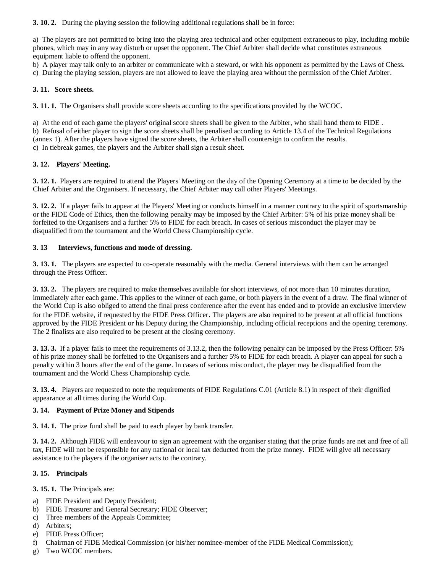**3. 10. 2.** During the playing session the following additional regulations shall be in force:

a) The players are not permitted to bring into the playing area technical and other equipment extraneous to play, including mobile phones, which may in any way disturb or upset the opponent. The Chief Arbiter shall decide what constitutes extraneous equipment liable to offend the opponent.

b) A player may talk only to an arbiter or communicate with a steward, or with his opponent as permitted by the Laws of Chess.

c) During the playing session, players are not allowed to leave the playing area without the permission of the Chief Arbiter.

# **3. 11. Score sheets.**

**3. 11. 1.** The Organisers shall provide score sheets according to the specifications provided by the WCOC.

a) At the end of each game the players' original score sheets shall be given to the Arbiter, who shall hand them to FIDE . b) Refusal of either player to sign the score sheets shall be penalised according to Article 13.4 of the Technical Regulations (annex 1). After the players have signed the score sheets, the Arbiter shall countersign to confirm the results. c) In tiebreak games, the players and the Arbiter shall sign a result sheet.

# **3. 12. Players' Meeting.**

**3. 12. 1.** Players are required to attend the Players' Meeting on the day of the Opening Ceremony at a time to be decided by the Chief Arbiter and the Organisers. If necessary, the Chief Arbiter may call other Players' Meetings.

**3. 12. 2.** If a player fails to appear at the Players' Meeting or conducts himself in a manner contrary to the spirit of sportsmanship or the FIDE Code of Ethics, then the following penalty may be imposed by the Chief Arbiter: 5% of his prize money shall be forfeited to the Organisers and a further 5% to FIDE for each breach. In cases of serious misconduct the player may be disqualified from the tournament and the World Chess Championship cycle.

# **3. 13 Interviews, functions and mode of dressing.**

**3. 13. 1.** The players are expected to co-operate reasonably with the media. General interviews with them can be arranged through the Press Officer.

**3. 13. 2.** The players are required to make themselves available for short interviews, of not more than 10 minutes duration, immediately after each game. This applies to the winner of each game, or both players in the event of a draw. The final winner of the World Cup is also obliged to attend the final press conference after the event has ended and to provide an exclusive interview for the FIDE website, if requested by the FIDE Press Officer. The players are also required to be present at all official functions approved by the FIDE President or his Deputy during the Championship, including official receptions and the opening ceremony. The 2 finalists are also required to be present at the closing ceremony.

**3. 13. 3.** If a player fails to meet the requirements of 3.13.2, then the following penalty can be imposed by the Press Officer: 5% of his prize money shall be forfeited to the Organisers and a further 5% to FIDE for each breach. A player can appeal for such a penalty within 3 hours after the end of the game. In cases of serious misconduct, the player may be disqualified from the tournament and the World Chess Championship cycle.

**3. 13. 4.** Players are requested to note the requirements of FIDE Regulations C.01 (Article 8.1) in respect of their dignified appearance at all times during the World Cup.

# **3. 14. Payment of Prize Money and Stipends**

**3. 14. 1.** The prize fund shall be paid to each player by bank transfer.

**3. 14. 2.** Although FIDE will endeavour to sign an agreement with the organiser stating that the prize funds are net and free of all tax, FIDE will not be responsible for any national or local tax deducted from the prize money. FIDE will give all necessary assistance to the players if the organiser acts to the contrary.

# **3. 15. Principals**

**3. 15. 1.** The Principals are:

- a) FIDE President and Deputy President;
- b) FIDE Treasurer and General Secretary; FIDE Observer;
- c) Three members of the Appeals Committee;
- d) Arbiters;
- e) FIDE Press Officer;
- f) Chairman of FIDE Medical Commission (or his/her nominee-member of the FIDE Medical Commission);
- g) Two WCOC members.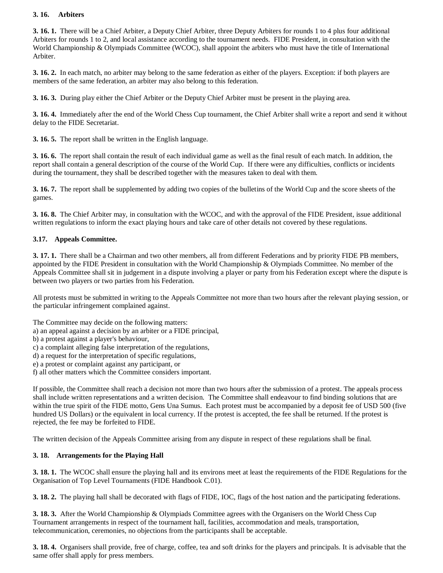# **3. 16. Arbiters**

**3. 16. 1.** There will be a Chief Arbiter, a Deputy Chief Arbiter, three Deputy Arbiters for rounds 1 to 4 plus four additional Arbiters for rounds 1 to 2, and local assistance according to the tournament needs. FIDE President, in consultation with the World Championship & Olympiads Committee (WCOC), shall appoint the arbiters who must have the title of International Arbiter.

**3. 16. 2.** In each match, no arbiter may belong to the same federation as either of the players. Exception: if both players are members of the same federation, an arbiter may also belong to this federation.

**3. 16. 3.** During play either the Chief Arbiter or the Deputy Chief Arbiter must be present in the playing area.

**3. 16. 4.** Immediately after the end of the World Chess Cup tournament, the Chief Arbiter shall write a report and send it without delay to the FIDE Secretariat.

**3. 16. 5.** The report shall be written in the English language.

**3. 16. 6.** The report shall contain the result of each individual game as well as the final result of each match. In addition, the report shall contain a general description of the course of the World Cup. If there were any difficulties, conflicts or incidents during the tournament, they shall be described together with the measures taken to deal with them.

**3. 16. 7.** The report shall be supplemented by adding two copies of the bulletins of the World Cup and the score sheets of the games.

**3. 16. 8.** The Chief Arbiter may, in consultation with the WCOC, and with the approval of the FIDE President, issue additional written regulations to inform the exact playing hours and take care of other details not covered by these regulations.

# **3.17. Appeals Committee.**

**3. 17. 1.** There shall be a Chairman and two other members, all from different Federations and by priority FIDE PB members, appointed by the FIDE President in consultation with the World Championship & Olympiads Committee. No member of the Appeals Committee shall sit in judgement in a dispute involving a player or party from his Federation except where the dispute is between two players or two parties from his Federation.

All protests must be submitted in writing to the Appeals Committee not more than two hours after the relevant playing session, or the particular infringement complained against.

The Committee may decide on the following matters:

- a) an appeal against a decision by an arbiter or a FIDE principal,
- b) a protest against a player's behaviour,
- c) a complaint alleging false interpretation of the regulations,
- d) a request for the interpretation of specific regulations,
- e) a protest or complaint against any participant, or
- f) all other matters which the Committee considers important.

If possible, the Committee shall reach a decision not more than two hours after the submission of a protest. The appeals process shall include written representations and a written decision. The Committee shall endeavour to find binding solutions that are within the true spirit of the FIDE motto, Gens Una Sumus. Each protest must be accompanied by a deposit fee of USD 500 (five hundred US Dollars) or the equivalent in local currency. If the protest is accepted, the fee shall be returned. If the protest is rejected, the fee may be forfeited to FIDE.

The written decision of the Appeals Committee arising from any dispute in respect of these regulations shall be final.

## **3. 18. Arrangements for the Playing Hall**

**3. 18. 1.** The WCOC shall ensure the playing hall and its environs meet at least the requirements of the FIDE Regulations for the Organisation of Top Level Tournaments (FIDE Handbook C.01).

**3. 18. 2.** The playing hall shall be decorated with flags of FIDE, IOC, flags of the host nation and the participating federations.

**3. 18. 3.** After the World Championship & Olympiads Committee agrees with the Organisers on the World Chess Cup Tournament arrangements in respect of the tournament hall, facilities, accommodation and meals, transportation, telecommunication, ceremonies, no objections from the participants shall be acceptable.

**3. 18. 4.** Organisers shall provide, free of charge, coffee, tea and soft drinks for the players and principals. It is advisable that the same offer shall apply for press members.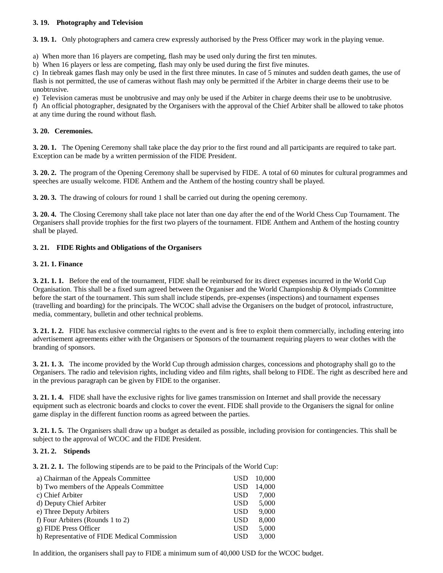## **3. 19. Photography and Television**

**3. 19. 1.** Only photographers and camera crew expressly authorised by the Press Officer may work in the playing venue.

a) When more than 16 players are competing, flash may be used only during the first ten minutes.

b) When 16 players or less are competing, flash may only be used during the first five minutes.

c) In tiebreak games flash may only be used in the first three minutes. In case of 5 minutes and sudden death games, the use of flash is not permitted, the use of cameras without flash may only be permitted if the Arbiter in charge deems their use to be unobtrusive.

e) Television cameras must be unobtrusive and may only be used if the Arbiter in charge deems their use to be unobtrusive. f) An official photographer, designated by the Organisers with the approval of the Chief Arbiter shall be allowed to take photos at any time during the round without flash.

# **3. 20. Ceremonies.**

**3. 20. 1.** The Opening Ceremony shall take place the day prior to the first round and all participants are required to take part. Exception can be made by a written permission of the FIDE President.

**3. 20. 2.** The program of the Opening Ceremony shall be supervised by FIDE. A total of 60 minutes for cultural programmes and speeches are usually welcome. FIDE Anthem and the Anthem of the hosting country shall be played.

**3. 20. 3.** The drawing of colours for round 1 shall be carried out during the opening ceremony.

**3. 20. 4.** The Closing Ceremony shall take place not later than one day after the end of the World Chess Cup Tournament. The Organisers shall provide trophies for the first two players of the tournament. FIDE Anthem and Anthem of the hosting country shall be played.

# **3. 21. FIDE Rights and Obligations of the Organisers**

## **3. 21. 1. Finance**

**3. 21. 1. 1.** Before the end of the tournament, FIDE shall be reimbursed for its direct expenses incurred in the World Cup Organisation. This shall be a fixed sum agreed between the Organiser and the World Championship & Olympiads Committee before the start of the tournament. This sum shall include stipends, pre-expenses (inspections) and tournament expenses (travelling and boarding) for the principals. The WCOC shall advise the Organisers on the budget of protocol, infrastructure, media, commentary, bulletin and other technical problems.

**3. 21. 1. 2.** FIDE has exclusive commercial rights to the event and is free to exploit them commercially, including entering into advertisement agreements either with the Organisers or Sponsors of the tournament requiring players to wear clothes with the branding of sponsors.

**3. 21. 1. 3.** The income provided by the World Cup through admission charges, concessions and photography shall go to the Organisers. The radio and television rights, including video and film rights, shall belong to FIDE. The right as described here and in the previous paragraph can be given by FIDE to the organiser.

**3. 21. 1. 4.** FIDE shall have the exclusive rights for live games transmission on Internet and shall provide the necessary equipment such as electronic boards and clocks to cover the event. FIDE shall provide to the Organisers the signal for online game display in the different function rooms as agreed between the parties.

**3. 21. 1. 5.** The Organisers shall draw up a budget as detailed as possible, including provision for contingencies. This shall be subject to the approval of WCOC and the FIDE President.

## **3. 21. 2. Stipends**

**3. 21. 2. 1.** The following stipends are to be paid to the Principals of the World Cup:

| a) Chairman of the Appeals Committee         | USD.       | 10,000 |
|----------------------------------------------|------------|--------|
| b) Two members of the Appeals Committee      | <b>USD</b> | 14.000 |
| c) Chief Arbiter                             | <b>USD</b> | 7,000  |
| d) Deputy Chief Arbiter                      | <b>USD</b> | 5,000  |
| e) Three Deputy Arbiters                     | <b>USD</b> | 9,000  |
| f) Four Arbiters (Rounds 1 to 2)             | <b>USD</b> | 8,000  |
| g) FIDE Press Officer                        | <b>USD</b> | 5.000  |
| h) Representative of FIDE Medical Commission | USD        | 3.000  |

In addition, the organisers shall pay to FIDE a minimum sum of 40,000 USD for the WCOC budget.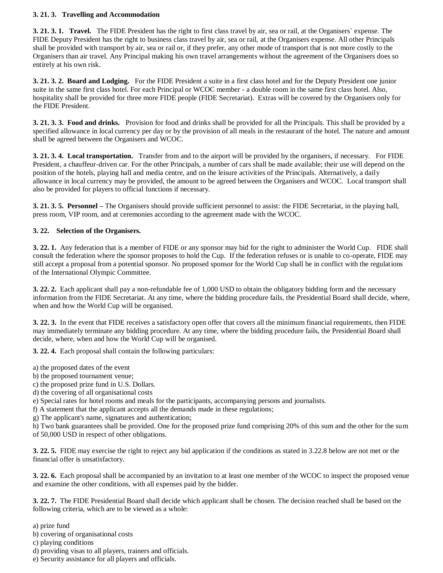## **3. 21. 3. Travelling and Accommodation**

**3. 21. 3. 1. Travel.** The FIDE President has the right to first class travel by air, sea or rail, at the Organisers` expense. The FIDE Deputy President has the right to business class travel by air, sea or rail, at the Organisers expense. All other Principals shall be provided with transport by air, sea or rail or, if they prefer, any other mode of transport that is not more costly to the Organisers than air travel. Any Principal making his own travel arrangements without the agreement of the Organisers does so entirely at his own risk.

**3. 21. 3. 2. Board and Lodging.** For the FIDE President a suite in a first class hotel and for the Deputy President one junior suite in the same first class hotel. For each Principal or WCOC member - a double room in the same first class hotel. Also, hospitality shall be provided for three more FIDE people (FIDE Secretariat). Extras will be covered by the Organisers only for the FIDE President.

**3. 21. 3. 3. Food and drinks.** Provision for food and drinks shall be provided for all the Principals. This shall be provided by a specified allowance in local currency per day or by the provision of all meals in the restaurant of the hotel. The nature and amount shall be agreed between the Organisers and WCOC.

**3. 21. 3. 4. Local transportation.** Transfer from and to the airport will be provided by the organisers, if necessary. For FIDE President, a chauffeur-driven car. For the other Principals, a number of cars shall be made available; their use will depend on the position of the hotels, playing hall and media centre, and on the leisure activities of the Principals. Alternatively, a daily allowance in local currency may be provided, the amount to be agreed between the Organisers and WCOC. Local transport shall also be provided for players to official functions if necessary.

**3. 21. 3. 5. Personnel –** The Organisers should provide sufficient personnel to assist: the FIDE Secretariat, in the playing hall, press room, VIP room, and at ceremonies according to the agreement made with the WCOC.

# **3. 22. Selection of the Organisers.**

**3. 22. 1.** Any federation that is a member of FIDE or any sponsor may bid for the right to administer the World Cup. FIDE shall consult the federation where the sponsor proposes to hold the Cup. If the federation refuses or is unable to co-operate, FIDE may still accept a proposal from a potential sponsor. No proposed sponsor for the World Cup shall be in conflict with the regulations of the International Olympic Committee.

**3. 22. 2.** Each applicant shall pay a non-refundable fee of 1,000 USD to obtain the obligatory bidding form and the necessary information from the FIDE Secretariat. At any time, where the bidding procedure fails, the Presidential Board shall decide, where, when and how the World Cup will be organised.

**3. 22. 3.** In the event that FIDE receives a satisfactory open offer that covers all the minimum financial requirements, then FIDE may immediately terminate any bidding procedure. At any time, where the bidding procedure fails, the Presidential Board shall decide, where, when and how the World Cup will be organised.

**3. 22. 4.** Each proposal shall contain the following particulars:

- a) the proposed dates of the event
- b) the proposed tournament venue;
- c) the proposed prize fund in U.S. Dollars.
- d) the covering of all organisational costs
- e) Special rates for hotel rooms and meals for the participants, accompanying persons and journalists.

f) A statement that the applicant accepts all the demands made in these regulations;

g) The applicant's name, signatures and authentication;

h) Two bank guarantees shall be provided. One for the proposed prize fund comprising 20% of this sum and the other for the sum of 50,000 USD in respect of other obligations.

**3. 22. 5.** FIDE may exercise the right to reject any bid application if the conditions as stated in 3.22.8 below are not met or the financial offer is unsatisfactory.

**3. 22. 6.** Each proposal shall be accompanied by an invitation to at least one member of the WCOC to inspect the proposed venue and examine the other conditions, with all expenses paid by the bidder.

**3. 22. 7.** The FIDE Presidential Board shall decide which applicant shall be chosen. The decision reached shall be based on the following criteria, which are to be viewed as a whole:

a) prize fund

b) covering of organisational costs

c) playing conditions

d) providing visas to all players, trainers and officials.

e) Security assistance for all players and officials.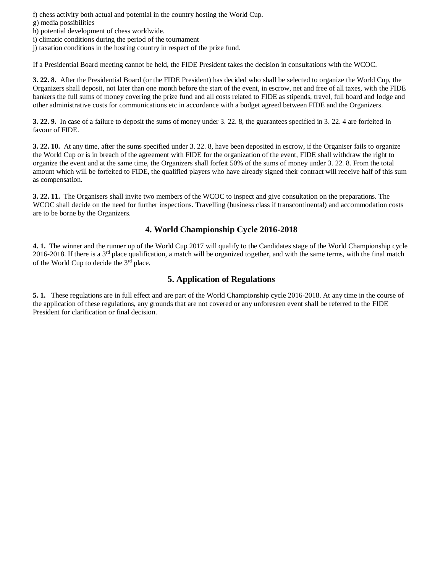f) chess activity both actual and potential in the country hosting the World Cup.

- g) media possibilities
- h) potential development of chess worldwide.
- i) climatic conditions during the period of the tournament
- j) taxation conditions in the hosting country in respect of the prize fund.

If a Presidential Board meeting cannot be held, the FIDE President takes the decision in consultations with the WCOC.

**3. 22. 8.** After the Presidential Board (or the FIDE President) has decided who shall be selected to organize the World Cup, the Organizers shall deposit, not later than one month before the start of the event, in escrow, net and free of all taxes, with the FIDE bankers the full sums of money covering the prize fund and all costs related to FIDE as stipends, travel, full board and lodge and other administrative costs for communications etc in accordance with a budget agreed between FIDE and the Organizers.

**3. 22. 9.** In case of a failure to deposit the sums of money under 3. 22. 8, the guarantees specified in 3. 22. 4 are forfeited in favour of FIDE.

**3. 22. 10.** At any time, after the sums specified under 3. 22. 8, have been deposited in escrow, if the Organiser fails to organize the World Cup or is in breach of the agreement with FIDE for the organization of the event, FIDE shall withdraw the right to organize the event and at the same time, the Organizers shall forfeit 50% of the sums of money under 3. 22. 8. From the total amount which will be forfeited to FIDE, the qualified players who have already signed their contract will receive half of this sum as compensation.

**3. 22. 11.** The Organisers shall invite two members of the WCOC to inspect and give consultation on the preparations. The WCOC shall decide on the need for further inspections. Travelling (business class if transcontinental) and accommodation costs are to be borne by the Organizers.

# **4. World Championship Cycle 2016-2018**

**4. 1.** The winner and the runner up of the World Cup 2017 will qualify to the Candidates stage of the World Championship cycle 2016-2018. If there is a  $3<sup>rd</sup>$  place qualification, a match will be organized together, and with the same terms, with the final match of the World Cup to decide the 3rd place.

# **5. Application of Regulations**

**5. 1.** These regulations are in full effect and are part of the World Championship cycle 2016-2018. At any time in the course of the application of these regulations, any grounds that are not covered or any unforeseen event shall be referred to the FIDE President for clarification or final decision.